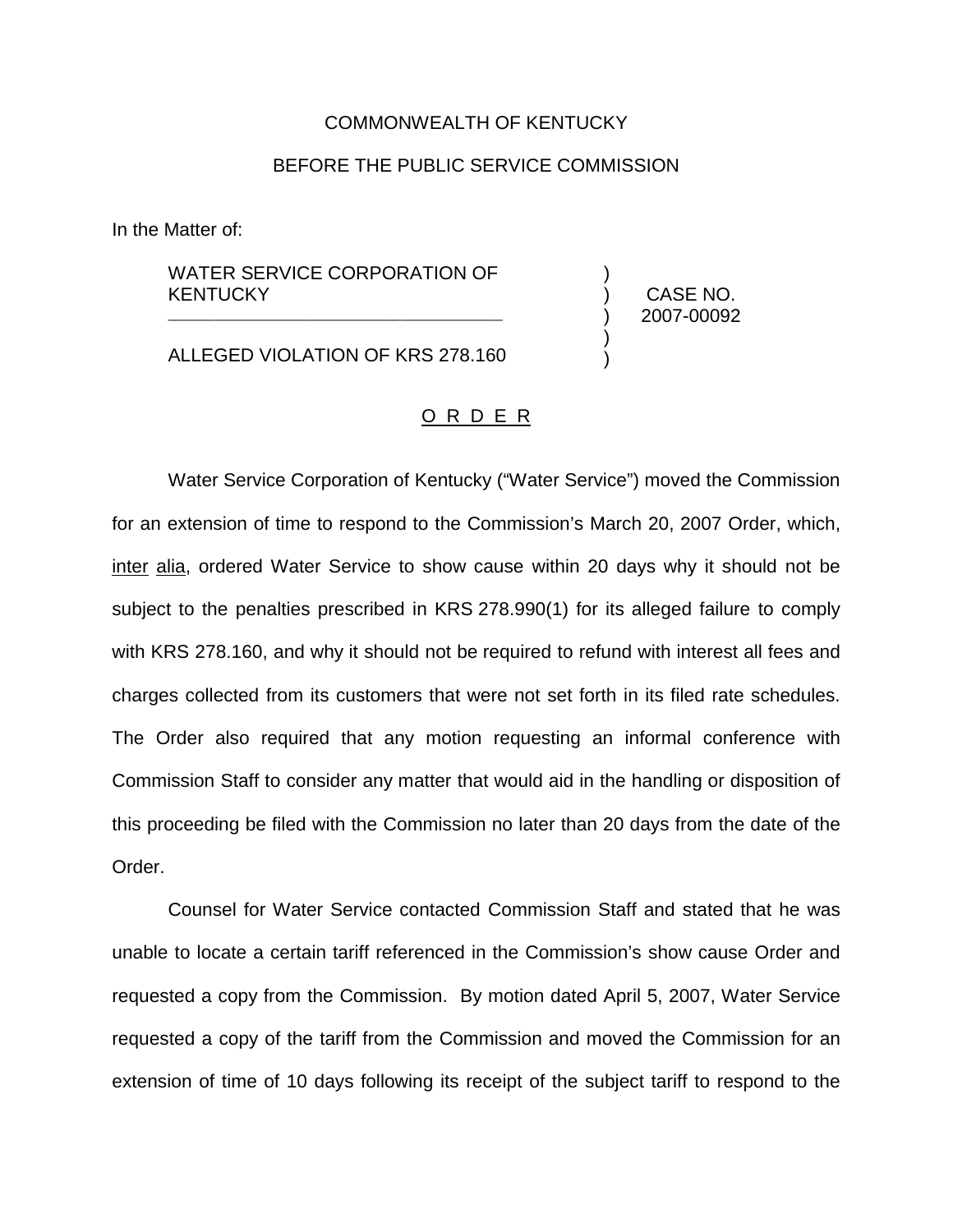## COMMONWEALTH OF KENTUCKY

## BEFORE THE PUBLIC SERVICE COMMISSION

In the Matter of:

## WATER SERVICE CORPORATION OF **KENTUCKY** \_\_\_\_\_\_\_\_\_\_\_\_\_\_\_\_\_\_\_\_\_\_\_\_\_\_\_\_\_\_\_\_\_\_\_\_\_\_\_\_\_\_\_

ALLEGED VIOLATION OF KRS 278.160

) CASE NO. ) 2007-00092

)

) )

## O R D E R

Water Service Corporation of Kentucky ("Water Service") moved the Commission for an extension of time to respond to the Commission's March 20, 2007 Order, which, inter alia, ordered Water Service to show cause within 20 days why it should not be subject to the penalties prescribed in KRS 278.990(1) for its alleged failure to comply with KRS 278.160, and why it should not be required to refund with interest all fees and charges collected from its customers that were not set forth in its filed rate schedules. The Order also required that any motion requesting an informal conference with Commission Staff to consider any matter that would aid in the handling or disposition of this proceeding be filed with the Commission no later than 20 days from the date of the Order.

Counsel for Water Service contacted Commission Staff and stated that he was unable to locate a certain tariff referenced in the Commission's show cause Order and requested a copy from the Commission. By motion dated April 5, 2007, Water Service requested a copy of the tariff from the Commission and moved the Commission for an extension of time of 10 days following its receipt of the subject tariff to respond to the